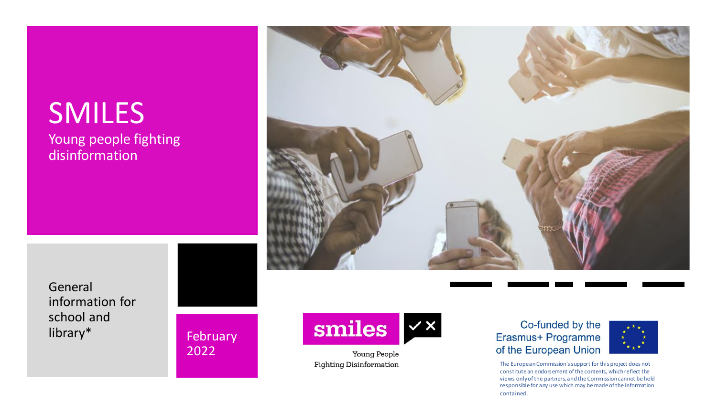#### SMILES

Young people fighting disinformation



General information for school and<br>library\*

February 2022



Young People **Fighting Disinformation** 

#### Co-funded by the Erasmus+ Programme of the European Union



The European Commission's support for this project does not constitute an endorsement of the contents, which reflect the views only of the partners, and the Commission cannot be held responsible for any use which may be made of the information contained.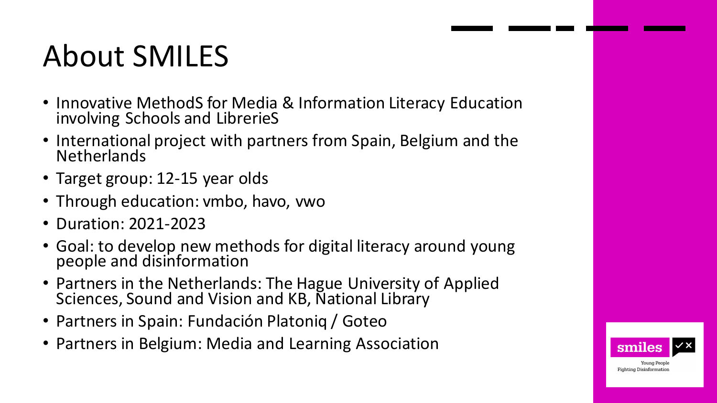## About SMILES

- Innovative MethodS for Media & Information Literacy Education involving Schools and LibrerieS
- International project with partners from Spain, Belgium and the **Netherlands**
- Target group: 12-15 year olds
- Through education: vmbo, havo, vwo
- Duration: 2021-2023
- Goal: to develop new methods for digital literacy around young people and disinformation
- Partners in the Netherlands: The Hague University of Applied Sciences, Sound and Vision and KB, National Library

smile:

**Fighting Disinformation** 

- Partners in Spain: Fundación Platoniq / Goteo
- Partners in Belgium: Media and Learning Association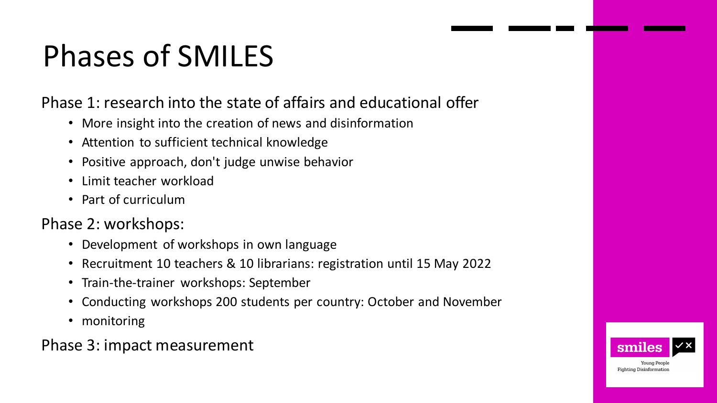# Phases of SMILES

#### Phase 1: research into the state of affairs and educational offer

- More insight into the creation of news and disinformation
- Attention to sufficient technical knowledge
- Positive approach, don't judge unwise behavior
- Limit teacher workload
- Part of curriculum

#### Phase 2: workshops:

- Development of workshops in own language
- Recruitment 10 teachers & 10 librarians: registration until 15 May 2022
- Train-the-trainer workshops: September
- Conducting workshops 200 students per country: October and November
- monitoring

Phase 3: impact measurement

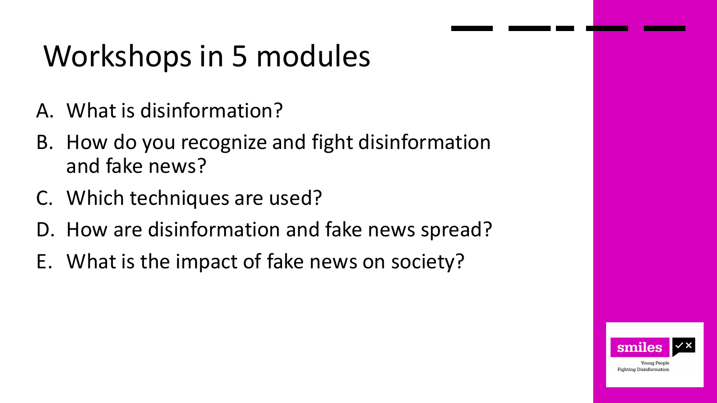#### Workshops in 5 modules

- A. What is disinformation?
- B. How do you recognize and fight disinformation and fake news?
- C. Which techniques are used?
- D. How are disinformation and fake news spread?
- E. What is the impact of fake news on society?

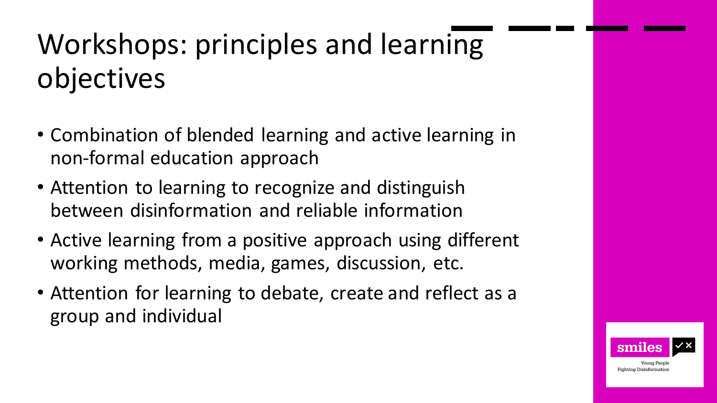#### Workshops: principles and learning objectives

- Combination of blended learning and active learning in non-formal education approach
- Attention to learning to recognize and distinguish between disinformation and reliable information
- Active learning from a positive approach using different working methods, media, games, discussion, etc.
- Attention for learning to debate, create and reflect as a group and individual

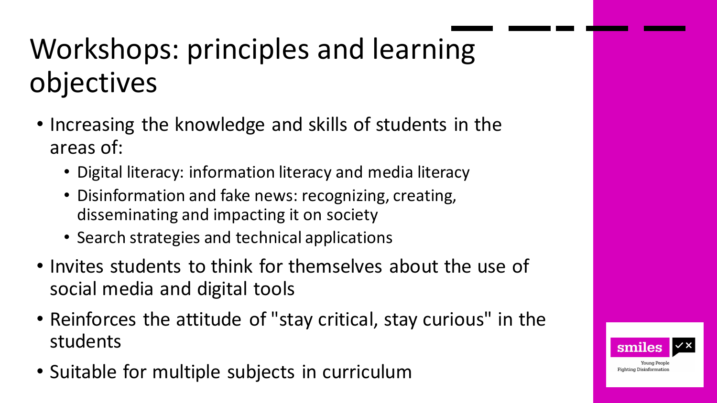## Workshops: principles and learning objectives

- Increasing the knowledge and skills of students in the areas of:
	- Digital literacy: information literacy and media literacy
	- Disinformation and fake news: recognizing, creating, disseminating and impacting it on society
	- Search strategies and technical applications
- Invites students to think for themselves about the use of social media and digital tools
- Reinforces the attitude of "stay critical, stay curious" in the students
- Suitable for multiple subjects in curriculum

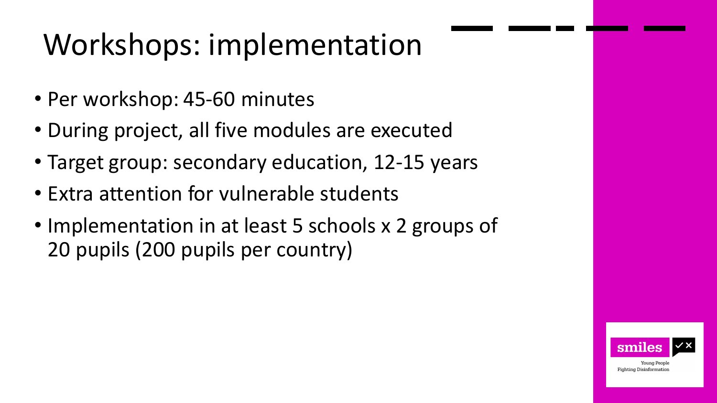## Workshops: implementation

- Per workshop: 45-60 minutes
- During project, all five modules are executed
- Target group: secondary education, 12-15 years
- Extra attention for vulnerable students
- Implementation in at least 5 schools x 2 groups of 20 pupils (200 pupils per country)

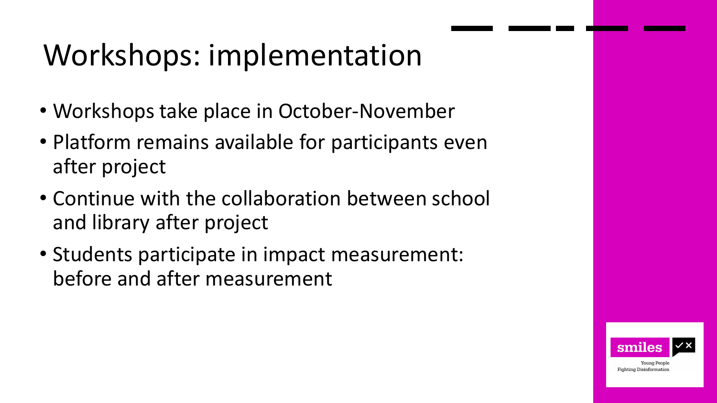#### Workshops: implementation

- Workshops take place in October-November
- Platform remains available for participants even after project
- Continue with the collaboration between school and library after project
- Students participate in impact measurement: before and after measurement

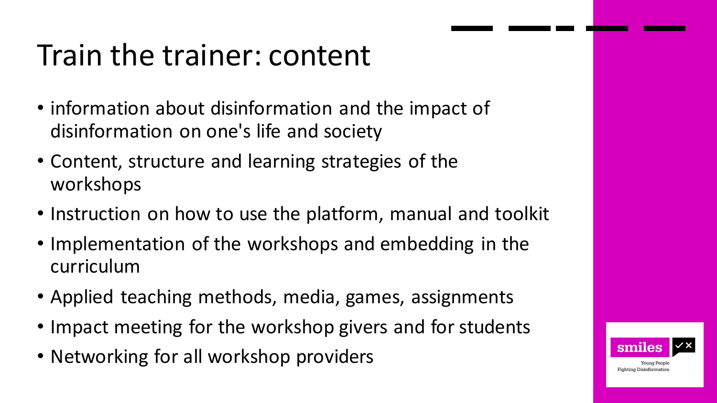#### Train the trainer: content

- information about disinformation and the impact of disinformation on one's life and society
- Content, structure and learning strategies of the workshops
- Instruction on how to use the platform, manual and toolkit
- Implementation of the workshops and embedding in the curriculum
- Applied teaching methods, media, games, assignments
- Impact meeting for the workshop givers and for students
- Networking for all workshop providers

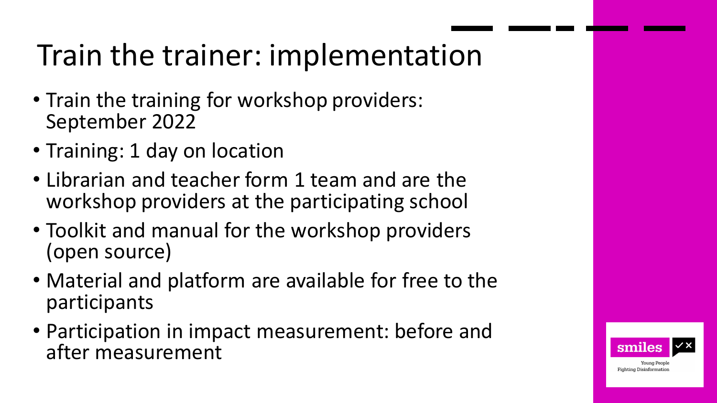#### Train the trainer: implementation

- Train the training for workshop providers: September 2022
- Training: 1 day on location
- Librarian and teacher form 1 team and are the workshop providers at the participating school
- Toolkit and manual for the workshop providers (open source)
- Material and platform are available for free to the participants
- Participation in impact measurement: before and after measurement

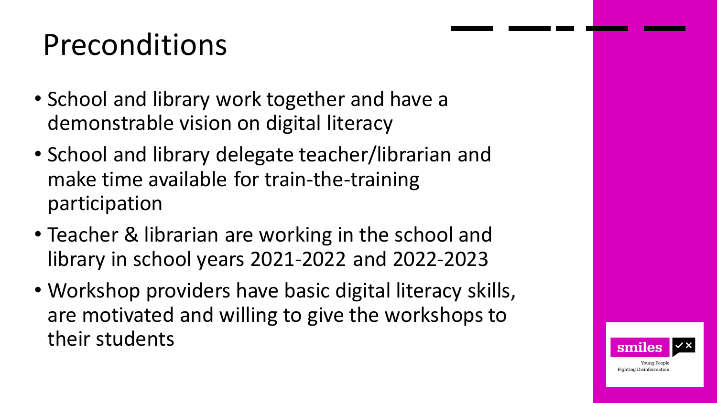## Preconditions

- School and library work together and have a demonstrable vision on digital literacy
- School and library delegate teacher/librarian and make time available for train-the-training participation
- Teacher & librarian are working in the school and library in school years 2021-2022 and 2022-2023
- Workshop providers have basic digital literacy skills, are motivated and willing to give the workshops to their students

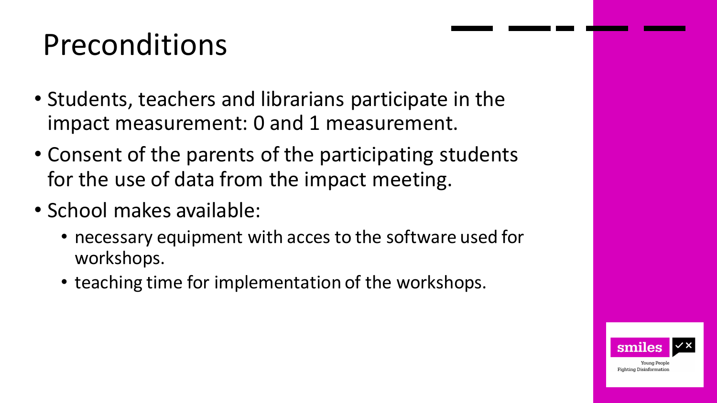## Preconditions

- Students, teachers and librarians participate in the impact measurement: 0 and 1 measurement.
- Consent of the parents of the participating students for the use of data from the impact meeting.
- School makes available:
	- necessary equipment with acces to the software used for workshops.
	- teaching time for implementation of the workshops.

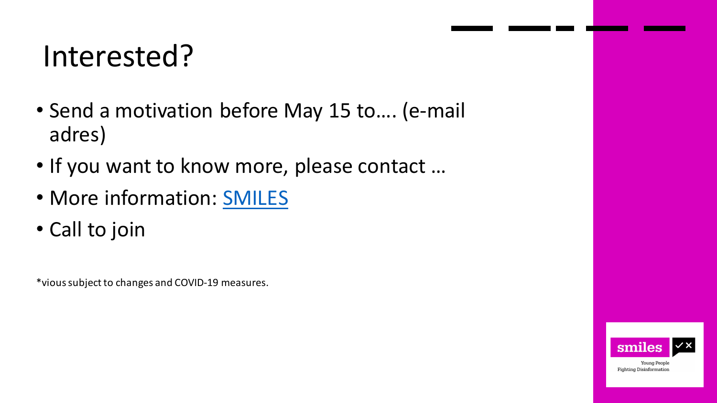#### Interested?

- Send a motivation before May 15 to…. (e-mail adres)
- If you want to know more, please contact …
- More information: [SMILES](https://smiles.platoniq.net/?locale=nl)
- Call to join

\*vioussubject to changes and COVID-19 measures.